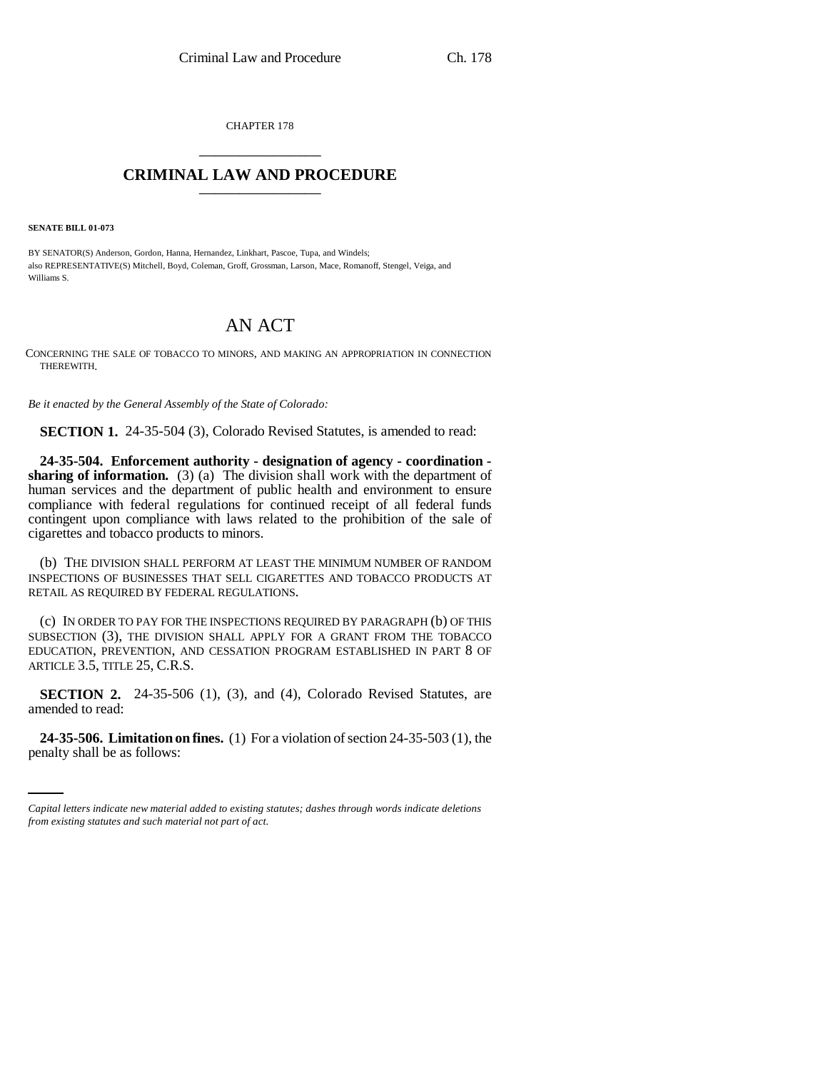CHAPTER 178 \_\_\_\_\_\_\_\_\_\_\_\_\_\_\_

## **CRIMINAL LAW AND PROCEDURE** \_\_\_\_\_\_\_\_\_\_\_\_\_\_\_

**SENATE BILL 01-073**

BY SENATOR(S) Anderson, Gordon, Hanna, Hernandez, Linkhart, Pascoe, Tupa, and Windels; also REPRESENTATIVE(S) Mitchell, Boyd, Coleman, Groff, Grossman, Larson, Mace, Romanoff, Stengel, Veiga, and Williams S.

## AN ACT

CONCERNING THE SALE OF TOBACCO TO MINORS, AND MAKING AN APPROPRIATION IN CONNECTION THEREWITH.

*Be it enacted by the General Assembly of the State of Colorado:*

**SECTION 1.** 24-35-504 (3), Colorado Revised Statutes, is amended to read:

**24-35-504. Enforcement authority - designation of agency - coordination sharing of information.** (3) (a) The division shall work with the department of human services and the department of public health and environment to ensure compliance with federal regulations for continued receipt of all federal funds contingent upon compliance with laws related to the prohibition of the sale of cigarettes and tobacco products to minors.

(b) THE DIVISION SHALL PERFORM AT LEAST THE MINIMUM NUMBER OF RANDOM INSPECTIONS OF BUSINESSES THAT SELL CIGARETTES AND TOBACCO PRODUCTS AT RETAIL AS REQUIRED BY FEDERAL REGULATIONS.

(c) IN ORDER TO PAY FOR THE INSPECTIONS REQUIRED BY PARAGRAPH (b) OF THIS SUBSECTION (3), THE DIVISION SHALL APPLY FOR A GRANT FROM THE TOBACCO EDUCATION, PREVENTION, AND CESSATION PROGRAM ESTABLISHED IN PART 8 OF ARTICLE 3.5, TITLE 25, C.R.S.

**SECTION 2.** 24-35-506 (1), (3), and (4), Colorado Revised Statutes, are amended to read:

**24-35-506. Limitation on fines.** (1) For a violation of section 24-35-503 (1), the penalty shall be as follows:

*Capital letters indicate new material added to existing statutes; dashes through words indicate deletions from existing statutes and such material not part of act.*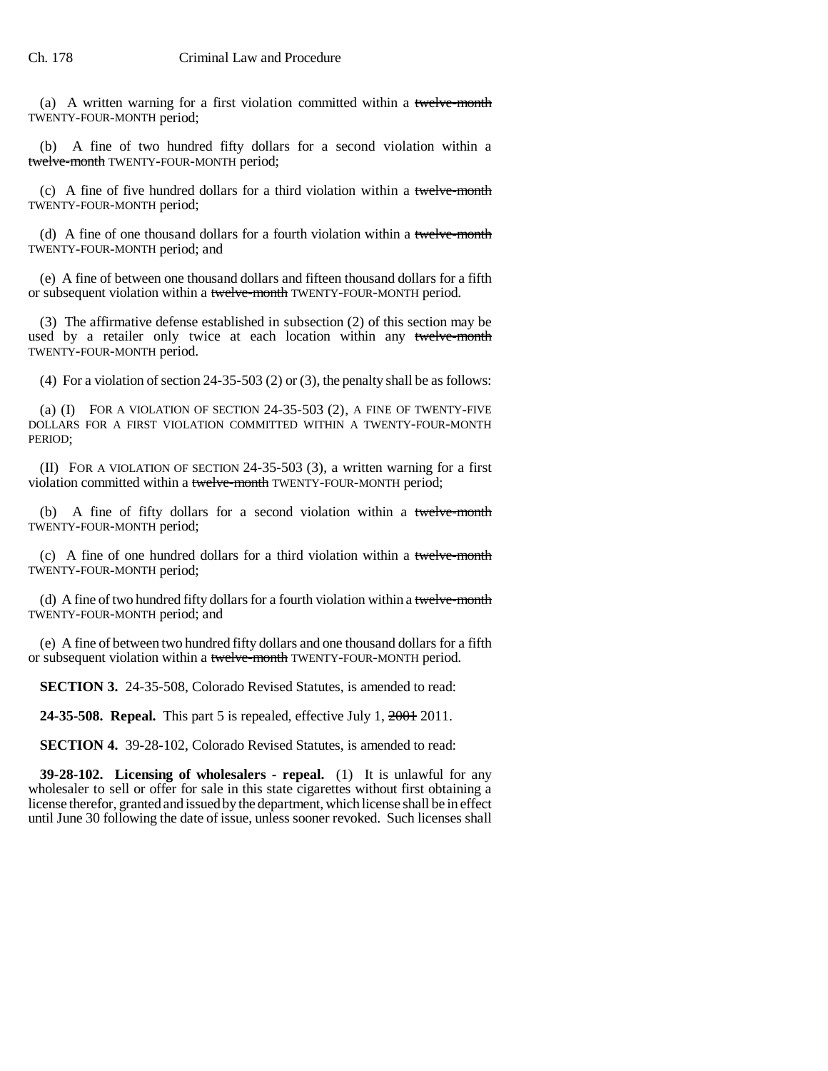(a) A written warning for a first violation committed within a twelve-month TWENTY-FOUR-MONTH period;

(b) A fine of two hundred fifty dollars for a second violation within a twelve-month TWENTY-FOUR-MONTH period;

(c) A fine of five hundred dollars for a third violation within a twelve-month TWENTY-FOUR-MONTH period;

(d) A fine of one thousand dollars for a fourth violation within a twelve-month TWENTY-FOUR-MONTH period; and

(e) A fine of between one thousand dollars and fifteen thousand dollars for a fifth or subsequent violation within a twelve-month TWENTY-FOUR-MONTH period.

(3) The affirmative defense established in subsection (2) of this section may be used by a retailer only twice at each location within any twelve-month TWENTY-FOUR-MONTH period.

(4) For a violation of section 24-35-503 (2) or (3), the penalty shall be as follows:

(a) (I) FOR A VIOLATION OF SECTION 24-35-503 (2), A FINE OF TWENTY-FIVE DOLLARS FOR A FIRST VIOLATION COMMITTED WITHIN A TWENTY-FOUR-MONTH PERIOD;

(II) FOR A VIOLATION OF SECTION 24-35-503 (3), a written warning for a first violation committed within a twelve-month TWENTY-FOUR-MONTH period;

(b) A fine of fifty dollars for a second violation within a twelve-month TWENTY-FOUR-MONTH period;

(c) A fine of one hundred dollars for a third violation within a twelve-month TWENTY-FOUR-MONTH period;

(d) A fine of two hundred fifty dollars for a fourth violation within a twelve-month TWENTY-FOUR-MONTH period; and

(e) A fine of between two hundred fifty dollars and one thousand dollars for a fifth or subsequent violation within a twelve-month TWENTY-FOUR-MONTH period.

**SECTION 3.** 24-35-508, Colorado Revised Statutes, is amended to read:

**24-35-508. Repeal.** This part 5 is repealed, effective July 1, 2001 2011.

**SECTION 4.** 39-28-102, Colorado Revised Statutes, is amended to read:

**39-28-102. Licensing of wholesalers - repeal.** (1) It is unlawful for any wholesaler to sell or offer for sale in this state cigarettes without first obtaining a license therefor, granted and issued by the department, which license shall be in effect until June 30 following the date of issue, unless sooner revoked. Such licenses shall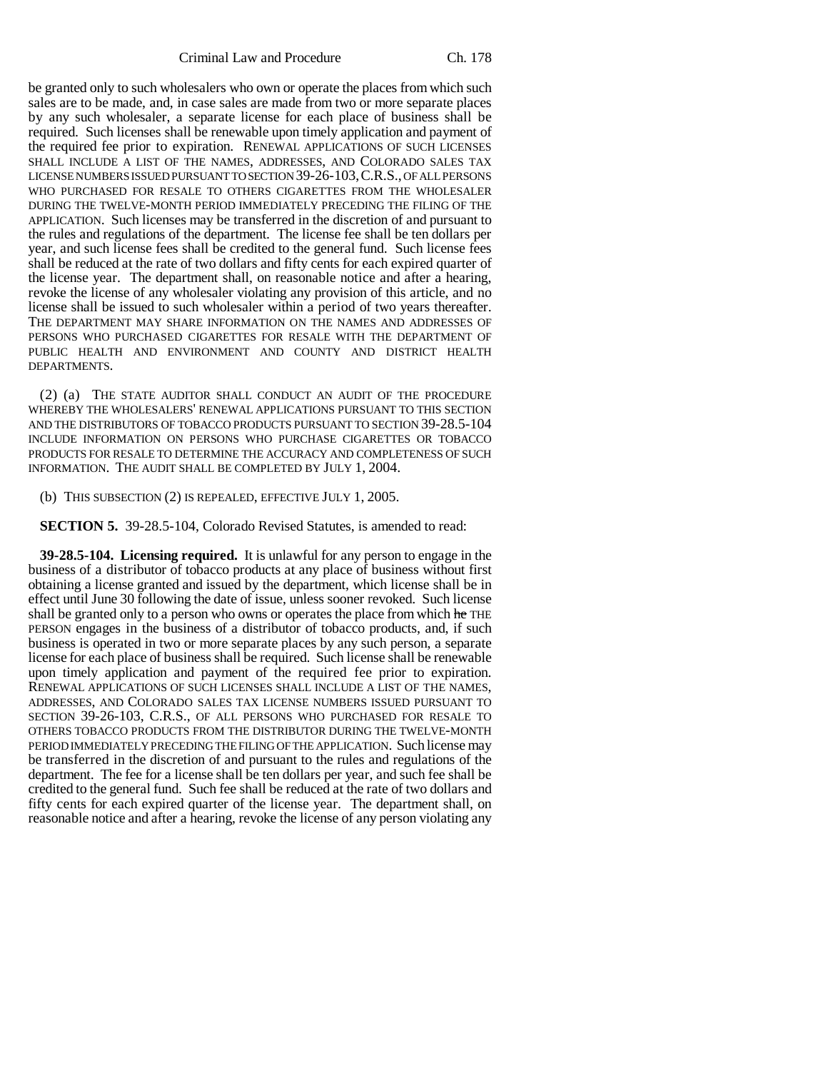Criminal Law and Procedure Ch. 178

be granted only to such wholesalers who own or operate the places from which such sales are to be made, and, in case sales are made from two or more separate places by any such wholesaler, a separate license for each place of business shall be required. Such licenses shall be renewable upon timely application and payment of the required fee prior to expiration. RENEWAL APPLICATIONS OF SUCH LICENSES SHALL INCLUDE A LIST OF THE NAMES, ADDRESSES, AND COLORADO SALES TAX LICENSE NUMBERS ISSUED PURSUANT TO SECTION 39-26-103,C.R.S., OF ALL PERSONS WHO PURCHASED FOR RESALE TO OTHERS CIGARETTES FROM THE WHOLESALER DURING THE TWELVE-MONTH PERIOD IMMEDIATELY PRECEDING THE FILING OF THE APPLICATION. Such licenses may be transferred in the discretion of and pursuant to the rules and regulations of the department. The license fee shall be ten dollars per year, and such license fees shall be credited to the general fund. Such license fees shall be reduced at the rate of two dollars and fifty cents for each expired quarter of the license year. The department shall, on reasonable notice and after a hearing, revoke the license of any wholesaler violating any provision of this article, and no license shall be issued to such wholesaler within a period of two years thereafter. THE DEPARTMENT MAY SHARE INFORMATION ON THE NAMES AND ADDRESSES OF PERSONS WHO PURCHASED CIGARETTES FOR RESALE WITH THE DEPARTMENT OF PUBLIC HEALTH AND ENVIRONMENT AND COUNTY AND DISTRICT HEALTH DEPARTMENTS.

(2) (a) THE STATE AUDITOR SHALL CONDUCT AN AUDIT OF THE PROCEDURE WHEREBY THE WHOLESALERS' RENEWAL APPLICATIONS PURSUANT TO THIS SECTION AND THE DISTRIBUTORS OF TOBACCO PRODUCTS PURSUANT TO SECTION 39-28.5-104 INCLUDE INFORMATION ON PERSONS WHO PURCHASE CIGARETTES OR TOBACCO PRODUCTS FOR RESALE TO DETERMINE THE ACCURACY AND COMPLETENESS OF SUCH INFORMATION. THE AUDIT SHALL BE COMPLETED BY JULY 1, 2004.

(b) THIS SUBSECTION (2) IS REPEALED, EFFECTIVE JULY 1, 2005.

**SECTION 5.** 39-28.5-104, Colorado Revised Statutes, is amended to read:

**39-28.5-104. Licensing required.** It is unlawful for any person to engage in the business of a distributor of tobacco products at any place of business without first obtaining a license granted and issued by the department, which license shall be in effect until June 30 following the date of issue, unless sooner revoked. Such license shall be granted only to a person who owns or operates the place from which he THE PERSON engages in the business of a distributor of tobacco products, and, if such business is operated in two or more separate places by any such person, a separate license for each place of business shall be required. Such license shall be renewable upon timely application and payment of the required fee prior to expiration. RENEWAL APPLICATIONS OF SUCH LICENSES SHALL INCLUDE A LIST OF THE NAMES, ADDRESSES, AND COLORADO SALES TAX LICENSE NUMBERS ISSUED PURSUANT TO SECTION 39-26-103, C.R.S., OF ALL PERSONS WHO PURCHASED FOR RESALE TO OTHERS TOBACCO PRODUCTS FROM THE DISTRIBUTOR DURING THE TWELVE-MONTH PERIOD IMMEDIATELY PRECEDING THE FILING OF THE APPLICATION. Such license may be transferred in the discretion of and pursuant to the rules and regulations of the department. The fee for a license shall be ten dollars per year, and such fee shall be credited to the general fund. Such fee shall be reduced at the rate of two dollars and fifty cents for each expired quarter of the license year. The department shall, on reasonable notice and after a hearing, revoke the license of any person violating any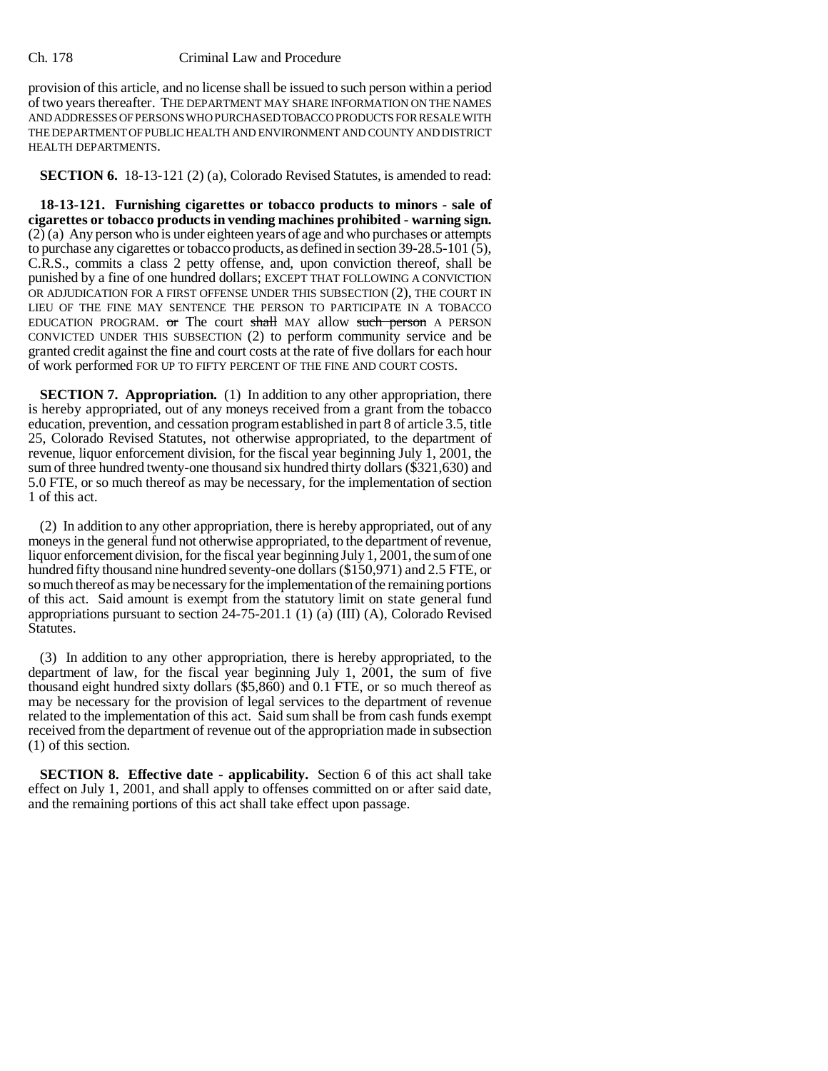## Ch. 178 Criminal Law and Procedure

provision of this article, and no license shall be issued to such person within a period of two years thereafter. THE DEPARTMENT MAY SHARE INFORMATION ON THE NAMES AND ADDRESSES OF PERSONS WHO PURCHASED TOBACCO PRODUCTS FOR RESALE WITH THE DEPARTMENT OF PUBLIC HEALTH AND ENVIRONMENT AND COUNTY AND DISTRICT HEALTH DEPARTMENTS.

**SECTION 6.** 18-13-121 (2) (a), Colorado Revised Statutes, is amended to read:

**18-13-121. Furnishing cigarettes or tobacco products to minors - sale of cigarettes or tobacco products in vending machines prohibited - warning sign.** (2) (a) Any person who is under eighteen years of age and who purchases or attempts to purchase any cigarettes or tobacco products, as defined in section 39-28.5-101 (5), C.R.S., commits a class 2 petty offense, and, upon conviction thereof, shall be punished by a fine of one hundred dollars; EXCEPT THAT FOLLOWING A CONVICTION OR ADJUDICATION FOR A FIRST OFFENSE UNDER THIS SUBSECTION (2), THE COURT IN LIEU OF THE FINE MAY SENTENCE THE PERSON TO PARTICIPATE IN A TOBACCO EDUCATION PROGRAM. or The court shall MAY allow such person A PERSON CONVICTED UNDER THIS SUBSECTION (2) to perform community service and be granted credit against the fine and court costs at the rate of five dollars for each hour of work performed FOR UP TO FIFTY PERCENT OF THE FINE AND COURT COSTS.

**SECTION 7. Appropriation.** (1) In addition to any other appropriation, there is hereby appropriated, out of any moneys received from a grant from the tobacco education, prevention, and cessation program established in part 8 of article 3.5, title 25, Colorado Revised Statutes, not otherwise appropriated, to the department of revenue, liquor enforcement division, for the fiscal year beginning July 1, 2001, the sum of three hundred twenty-one thousand six hundred thirty dollars (\$321,630) and 5.0 FTE, or so much thereof as may be necessary, for the implementation of section 1 of this act.

(2) In addition to any other appropriation, there is hereby appropriated, out of any moneys in the general fund not otherwise appropriated, to the department of revenue, liquor enforcement division, for the fiscal year beginning July 1, 2001, the sum of one hundred fifty thousand nine hundred seventy-one dollars (\$150,971) and 2.5 FTE, or so much thereof as may be necessary for the implementation of the remaining portions of this act. Said amount is exempt from the statutory limit on state general fund appropriations pursuant to section 24-75-201.1 (1) (a) (III) (A), Colorado Revised Statutes.

(3) In addition to any other appropriation, there is hereby appropriated, to the department of law, for the fiscal year beginning July 1, 2001, the sum of five thousand eight hundred sixty dollars (\$5,860) and 0.1 FTE, or so much thereof as may be necessary for the provision of legal services to the department of revenue related to the implementation of this act. Said sum shall be from cash funds exempt received from the department of revenue out of the appropriation made in subsection (1) of this section.

**SECTION 8. Effective date - applicability.** Section 6 of this act shall take effect on July 1, 2001, and shall apply to offenses committed on or after said date, and the remaining portions of this act shall take effect upon passage.